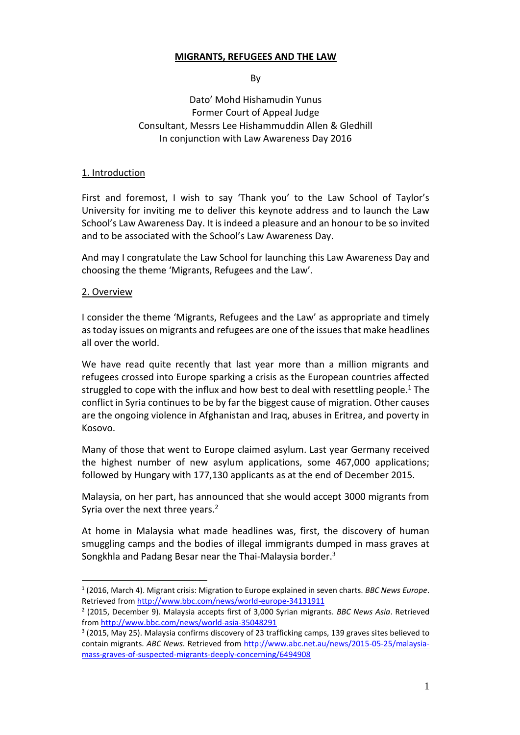#### **MIGRANTS, REFUGEES AND THE LAW**

By

Dato' Mohd Hishamudin Yunus Former Court of Appeal Judge Consultant, Messrs Lee Hishammuddin Allen & Gledhill In conjunction with Law Awareness Day 2016

#### 1. Introduction

First and foremost, I wish to say 'Thank you' to the Law School of Taylor's University for inviting me to deliver this keynote address and to launch the Law School's Law Awareness Day. It is indeed a pleasure and an honour to be so invited and to be associated with the School's Law Awareness Day.

And may I congratulate the Law School for launching this Law Awareness Day and choosing the theme 'Migrants, Refugees and the Law'.

#### 2. Overview

 $\overline{a}$ 

I consider the theme 'Migrants, Refugees and the Law' as appropriate and timely as today issues on migrants and refugees are one of the issues that make headlines all over the world.

We have read quite recently that last year more than a million migrants and refugees crossed into Europe sparking a crisis as the European countries affected struggled to cope with the influx and how best to deal with resettling people.<sup>1</sup> The conflict in Syria continues to be by far the biggest cause of migration. Other causes are the ongoing violence in Afghanistan and Iraq, abuses in Eritrea, and poverty in Kosovo.

Many of those that went to Europe claimed asylum. Last year Germany received the highest number of new asylum applications, some 467,000 applications; followed by Hungary with 177,130 applicants as at the end of December 2015.

Malaysia, on her part, has announced that she would accept 3000 migrants from Syria over the next three years.<sup>2</sup>

At home in Malaysia what made headlines was, first, the discovery of human smuggling camps and the bodies of illegal immigrants dumped in mass graves at Songkhla and Padang Besar near the Thai-Malaysia border.<sup>3</sup>

<sup>1</sup> (2016, March 4). Migrant crisis: Migration to Europe explained in seven charts. *BBC News Europe*. Retrieved from<http://www.bbc.com/news/world-europe-34131911>

<sup>2</sup> (2015, December 9). Malaysia accepts first of 3,000 Syrian migrants. *BBC News Asia*. Retrieved fro[m http://www.bbc.com/news/world-asia-35048291](http://www.bbc.com/news/world-asia-35048291)

<sup>&</sup>lt;sup>3</sup> (2015, May 25). Malaysia confirms discovery of 23 trafficking camps, 139 graves sites believed to contain migrants. *ABC News*. Retrieved from [http://www.abc.net.au/news/2015-05-25/malaysia](http://www.abc.net.au/news/2015-05-25/malaysia-mass-graves-of-suspected-migrants-deeply-concerning/6494908)[mass-graves-of-suspected-migrants-deeply-concerning/6494908](http://www.abc.net.au/news/2015-05-25/malaysia-mass-graves-of-suspected-migrants-deeply-concerning/6494908)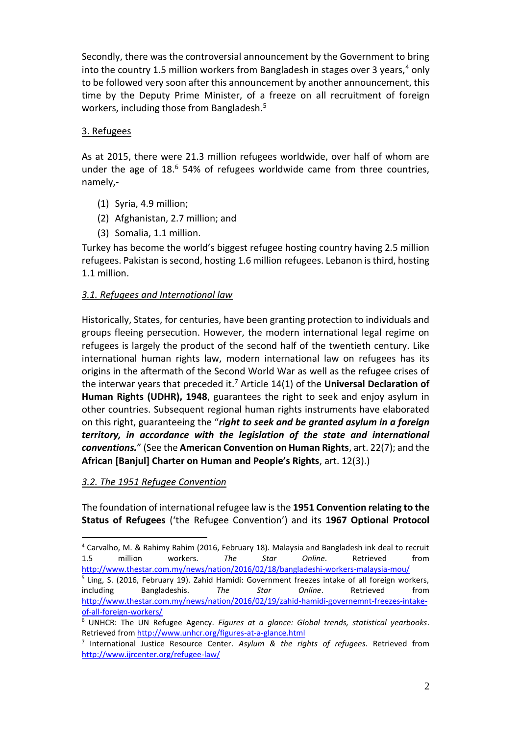Secondly, there was the controversial announcement by the Government to bring into the country 1.5 million workers from Bangladesh in stages over 3 years, $4$  only to be followed very soon after this announcement by another announcement, this time by the Deputy Prime Minister, of a freeze on all recruitment of foreign workers, including those from Bangladesh.<sup>5</sup>

### 3. Refugees

As at 2015, there were 21.3 million refugees worldwide, over half of whom are under the age of  $18<sup>6</sup>$  54% of refugees worldwide came from three countries, namely,-

- (1) Syria, 4.9 million;
- (2) Afghanistan, 2.7 million; and
- (3) Somalia, 1.1 million.

Turkey has become the world's biggest refugee hosting country having 2.5 million refugees. Pakistan is second, hosting 1.6 million refugees. Lebanon is third, hosting 1.1 million.

### *3.1. Refugees and International law*

Historically, States, for centuries, have been granting protection to individuals and groups fleeing persecution. However, the modern international legal regime on refugees is largely the product of the second half of the twentieth century. Like international human rights law, modern international law on refugees has its origins in the aftermath of the Second World War as well as the refugee crises of the interwar years that preceded it.<sup>7</sup> Article 14(1) of the **Universal Declaration of Human Rights (UDHR), 1948**, guarantees the right to seek and enjoy asylum in other countries. Subsequent regional human rights instruments have elaborated on this right, guaranteeing the "*right to seek and be granted asylum in a foreign territory, in accordance with the legislation of the state and international conventions.*" (See the **American Convention on Human Rights**, art. 22(7); and the **African [Banjul] Charter on Human and People's Rights**, art. 12(3).)

#### *3.2. The 1951 Refugee Convention*

 $\overline{a}$ 

The foundation of international refugee law is the **1951 Convention relating to the Status of Refugees** ('the Refugee Convention') and its **1967 Optional Protocol** 

<sup>4</sup> Carvalho, M. & Rahimy Rahim (2016, February 18). Malaysia and Bangladesh ink deal to recruit 1.5 million workers. *The Star Online*. Retrieved from <http://www.thestar.com.my/news/nation/2016/02/18/bangladeshi-workers-malaysia-mou/>

<sup>&</sup>lt;sup>5</sup> Ling, S. (2016, February 19). Zahid Hamidi: Government freezes intake of all foreign workers, including Bangladeshis. *The Star Online*. Retrieved from [http://www.thestar.com.my/news/nation/2016/02/19/zahid-hamidi-governemnt-freezes-intake](http://www.thestar.com.my/news/nation/2016/02/19/zahid-hamidi-governemnt-freezes-intake-of-all-foreign-workers/)[of-all-foreign-workers/](http://www.thestar.com.my/news/nation/2016/02/19/zahid-hamidi-governemnt-freezes-intake-of-all-foreign-workers/)

<sup>6</sup> UNHCR: The UN Refugee Agency. *Figures at a glance: Global trends, statistical yearbooks*. Retrieved from<http://www.unhcr.org/figures-at-a-glance.html>

<sup>7</sup> International Justice Resource Center. *Asylum & the rights of refugees*. Retrieved from <http://www.ijrcenter.org/refugee-law/>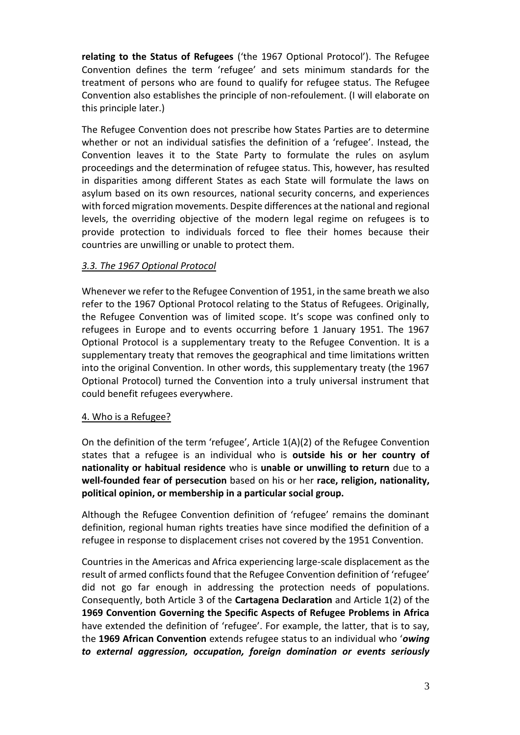**relating to the Status of Refugees** ('the 1967 Optional Protocol'). The Refugee Convention defines the term 'refugee' and sets minimum standards for the treatment of persons who are found to qualify for refugee status. The Refugee Convention also establishes the principle of non-refoulement. (I will elaborate on this principle later.)

The Refugee Convention does not prescribe how States Parties are to determine whether or not an individual satisfies the definition of a 'refugee'. Instead, the Convention leaves it to the State Party to formulate the rules on asylum proceedings and the determination of refugee status. This, however, has resulted in disparities among different States as each State will formulate the laws on asylum based on its own resources, national security concerns, and experiences with forced migration movements. Despite differences at the national and regional levels, the overriding objective of the modern legal regime on refugees is to provide protection to individuals forced to flee their homes because their countries are unwilling or unable to protect them.

### *3.3. The 1967 Optional Protocol*

Whenever we refer to the Refugee Convention of 1951, in the same breath we also refer to the 1967 Optional Protocol relating to the Status of Refugees. Originally, the Refugee Convention was of limited scope. It's scope was confined only to refugees in Europe and to events occurring before 1 January 1951. The 1967 Optional Protocol is a supplementary treaty to the Refugee Convention. It is a supplementary treaty that removes the geographical and time limitations written into the original Convention. In other words, this supplementary treaty (the 1967 Optional Protocol) turned the Convention into a truly universal instrument that could benefit refugees everywhere.

### 4. Who is a Refugee?

On the definition of the term 'refugee', Article 1(A)(2) of the Refugee Convention states that a refugee is an individual who is **outside his or her country of nationality or habitual residence** who is **unable or unwilling to return** due to a **well-founded fear of persecution** based on his or her **race, religion, nationality, political opinion, or membership in a particular social group.** 

Although the Refugee Convention definition of 'refugee' remains the dominant definition, regional human rights treaties have since modified the definition of a refugee in response to displacement crises not covered by the 1951 Convention.

Countries in the Americas and Africa experiencing large-scale displacement as the result of armed conflicts found that the Refugee Convention definition of 'refugee' did not go far enough in addressing the protection needs of populations. Consequently, both Article 3 of the **Cartagena Declaration** and Article 1(2) of the **1969 Convention Governing the Specific Aspects of Refugee Problems in Africa** have extended the definition of 'refugee'. For example, the latter, that is to say, the **1969 African Convention** extends refugee status to an individual who '*owing to external aggression, occupation, foreign domination or events seriously*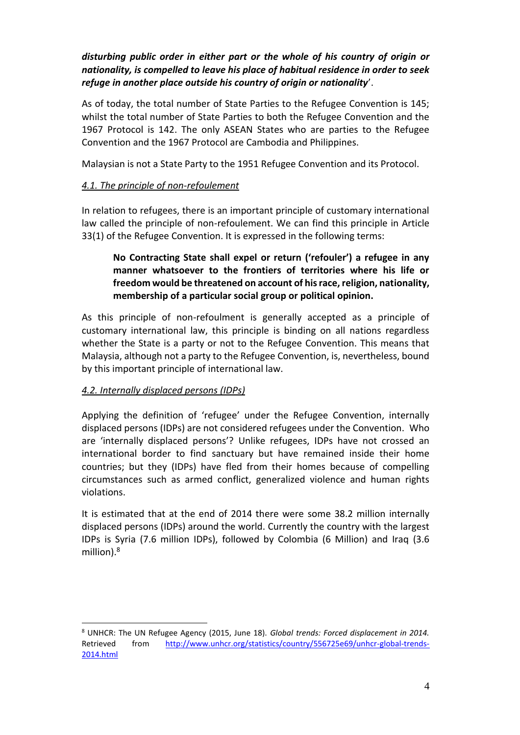## *disturbing public order in either part or the whole of his country of origin or nationality, is compelled to leave his place of habitual residence in order to seek refuge in another place outside his country of origin or nationality*'.

As of today, the total number of State Parties to the Refugee Convention is 145; whilst the total number of State Parties to both the Refugee Convention and the 1967 Protocol is 142. The only ASEAN States who are parties to the Refugee Convention and the 1967 Protocol are Cambodia and Philippines.

Malaysian is not a State Party to the 1951 Refugee Convention and its Protocol.

### *4.1. The principle of non-refoulement*

In relation to refugees, there is an important principle of customary international law called the principle of non-refoulement. We can find this principle in Article 33(1) of the Refugee Convention. It is expressed in the following terms:

**No Contracting State shall expel or return ('refouler') a refugee in any manner whatsoever to the frontiers of territories where his life or freedom would be threatened on account of his race, religion, nationality, membership of a particular social group or political opinion.** 

As this principle of non-refoulment is generally accepted as a principle of customary international law, this principle is binding on all nations regardless whether the State is a party or not to the Refugee Convention. This means that Malaysia, although not a party to the Refugee Convention, is, nevertheless, bound by this important principle of international law.

### *4.2. Internally displaced persons (IDPs)*

 $\overline{a}$ 

Applying the definition of 'refugee' under the Refugee Convention, internally displaced persons (IDPs) are not considered refugees under the Convention. Who are 'internally displaced persons'? Unlike refugees, IDPs have not crossed an international border to find sanctuary but have remained inside their home countries; but they (IDPs) have fled from their homes because of compelling circumstances such as armed conflict, generalized violence and human rights violations.

It is estimated that at the end of 2014 there were some 38.2 million internally displaced persons (IDPs) around the world. Currently the country with the largest IDPs is Syria (7.6 million IDPs), followed by Colombia (6 Million) and Iraq (3.6 million).<sup>8</sup>

<sup>8</sup> UNHCR: The UN Refugee Agency (2015, June 18). *Global trends: Forced displacement in 2014.*  Retrieved from [http://www.unhcr.org/statistics/country/556725e69/unhcr-global-trends-](http://www.unhcr.org/statistics/country/556725e69/unhcr-global-trends-2014.html)[2014.html](http://www.unhcr.org/statistics/country/556725e69/unhcr-global-trends-2014.html)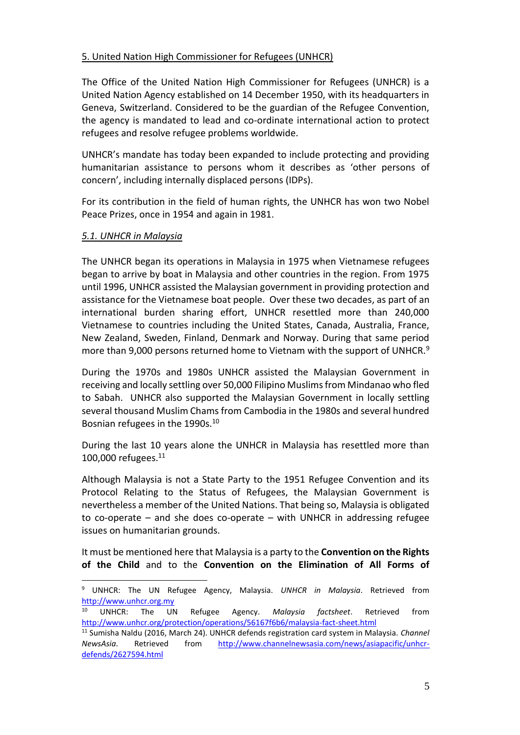### 5. United Nation High Commissioner for Refugees (UNHCR)

The Office of the United Nation High Commissioner for Refugees (UNHCR) is a United Nation Agency established on 14 December 1950, with its headquarters in Geneva, Switzerland. Considered to be the guardian of the Refugee Convention, the agency is mandated to lead and co-ordinate international action to protect refugees and resolve refugee problems worldwide.

UNHCR's mandate has today been expanded to include protecting and providing humanitarian assistance to persons whom it describes as 'other persons of concern', including internally displaced persons (IDPs).

For its contribution in the field of human rights, the UNHCR has won two Nobel Peace Prizes, once in 1954 and again in 1981.

#### *5.1. UNHCR in Malaysia*

 $\overline{a}$ 

The UNHCR began its operations in Malaysia in 1975 when Vietnamese refugees began to arrive by boat in Malaysia and other countries in the region. From 1975 until 1996, UNHCR assisted the Malaysian government in providing protection and assistance for the Vietnamese boat people. Over these two decades, as part of an international burden sharing effort, UNHCR resettled more than 240,000 Vietnamese to countries including the United States, Canada, Australia, France, New Zealand, Sweden, Finland, Denmark and Norway. During that same period more than 9,000 persons returned home to Vietnam with the support of UNHCR.<sup>9</sup>

During the 1970s and 1980s UNHCR assisted the Malaysian Government in receiving and locally settling over 50,000 Filipino Muslims from Mindanao who fled to Sabah. UNHCR also supported the Malaysian Government in locally settling several thousand Muslim Chams from Cambodia in the 1980s and several hundred Bosnian refugees in the 1990s.<sup>10</sup>

During the last 10 years alone the UNHCR in Malaysia has resettled more than 100,000 refugees. $^{11}$ 

Although Malaysia is not a State Party to the 1951 Refugee Convention and its Protocol Relating to the Status of Refugees, the Malaysian Government is nevertheless a member of the United Nations. That being so, Malaysia is obligated to co-operate – and she does co-operate – with UNHCR in addressing refugee issues on humanitarian grounds.

It must be mentioned here that Malaysia is a party to the **Convention on the Rights of the Child** and to the **Convention on the Elimination of All Forms of** 

<sup>9</sup> UNHCR: The UN Refugee Agency, Malaysia. *UNHCR in Malaysia*. Retrieved from [http://www.unhcr.org.my](http://www.unhcr.org.my/)<br><sup>10</sup> UNHCR: The UN

<sup>10</sup> UNHCR: The UN Refugee Agency. *Malaysia factsheet*. Retrieved from <http://www.unhcr.org/protection/operations/56167f6b6/malaysia-fact-sheet.html>

<sup>11</sup> Sumisha Naldu (2016, March 24). UNHCR defends registration card system in Malaysia. *Channel NewsAsia*. Retrieved from [http://www.channelnewsasia.com/news/asiapacific/unhcr](http://www.channelnewsasia.com/news/asiapacific/unhcr-defends/2627594.html)[defends/2627594.html](http://www.channelnewsasia.com/news/asiapacific/unhcr-defends/2627594.html)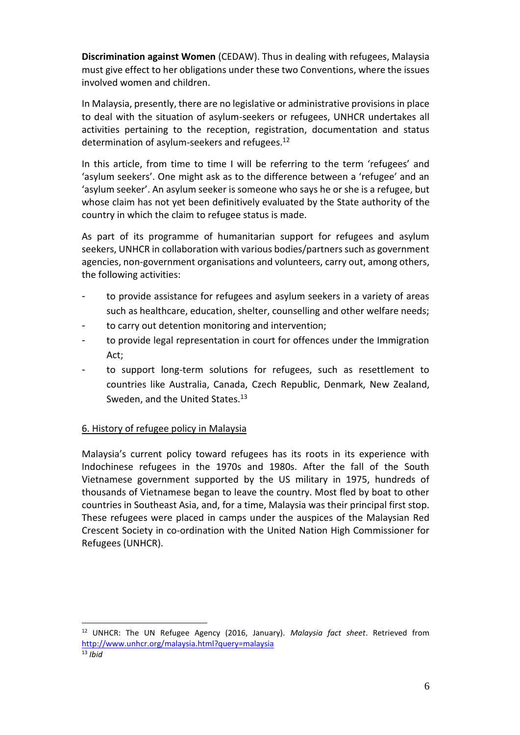**Discrimination against Women** (CEDAW). Thus in dealing with refugees, Malaysia must give effect to her obligations under these two Conventions, where the issues involved women and children.

In Malaysia, presently, there are no legislative or administrative provisions in place to deal with the situation of asylum-seekers or refugees, UNHCR undertakes all activities pertaining to the reception, registration, documentation and status determination of asylum-seekers and refugees.<sup>12</sup>

In this article, from time to time I will be referring to the term 'refugees' and 'asylum seekers'. One might ask as to the difference between a 'refugee' and an 'asylum seeker'. An asylum seeker is someone who says he or she is a refugee, but whose claim has not yet been definitively evaluated by the State authority of the country in which the claim to refugee status is made.

As part of its programme of humanitarian support for refugees and asylum seekers, UNHCR in collaboration with various bodies/partners such as government agencies, non-government organisations and volunteers, carry out, among others, the following activities:

- to provide assistance for refugees and asylum seekers in a variety of areas such as healthcare, education, shelter, counselling and other welfare needs;
- to carry out detention monitoring and intervention;
- to provide legal representation in court for offences under the Immigration Act;
- to support long-term solutions for refugees, such as resettlement to countries like Australia, Canada, Czech Republic, Denmark, New Zealand, Sweden, and the United States.<sup>13</sup>

### 6. History of refugee policy in Malaysia

 $\overline{a}$ 

Malaysia's current policy toward refugees has its roots in its experience with Indochinese refugees in the 1970s and 1980s. After the fall of the South Vietnamese government supported by the US military in 1975, hundreds of thousands of Vietnamese began to leave the country. Most fled by boat to other countries in Southeast Asia, and, for a time, Malaysia was their principal first stop. These refugees were placed in camps under the auspices of the Malaysian Red Crescent Society in co-ordination with the United Nation High Commissioner for Refugees (UNHCR).

<sup>12</sup> UNHCR: The UN Refugee Agency (2016, January). *Malaysia fact sheet*. Retrieved from <http://www.unhcr.org/malaysia.html?query=malaysia> <sup>13</sup> *Ibid*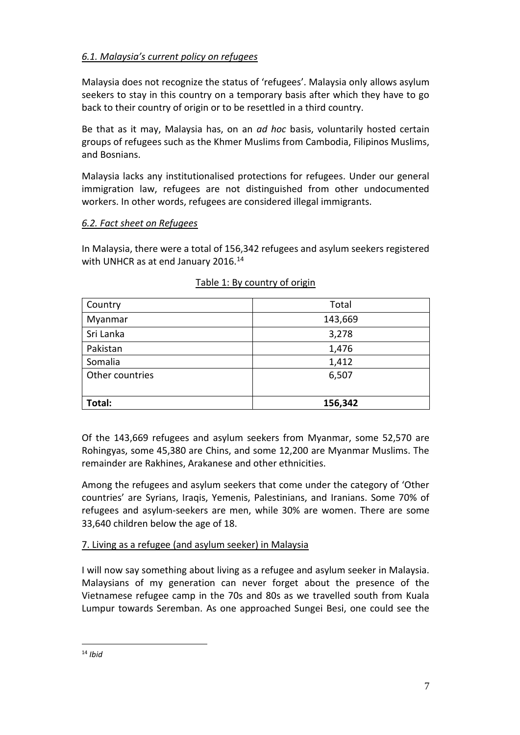# *6.1. Malaysia's current policy on refugees*

Malaysia does not recognize the status of 'refugees'. Malaysia only allows asylum seekers to stay in this country on a temporary basis after which they have to go back to their country of origin or to be resettled in a third country.

Be that as it may, Malaysia has, on an *ad hoc* basis, voluntarily hosted certain groups of refugees such as the Khmer Muslims from Cambodia, Filipinos Muslims, and Bosnians.

Malaysia lacks any institutionalised protections for refugees. Under our general immigration law, refugees are not distinguished from other undocumented workers. In other words, refugees are considered illegal immigrants.

### *6.2. Fact sheet on Refugees*

In Malaysia, there were a total of 156,342 refugees and asylum seekers registered with UNHCR as at end January 2016.<sup>14</sup>

| Country         | Total   |
|-----------------|---------|
| Myanmar         | 143,669 |
| Sri Lanka       | 3,278   |
| Pakistan        | 1,476   |
| Somalia         | 1,412   |
| Other countries | 6,507   |
|                 |         |
| Total:          | 156,342 |

### Table 1: By country of origin

Of the 143,669 refugees and asylum seekers from Myanmar, some 52,570 are Rohingyas, some 45,380 are Chins, and some 12,200 are Myanmar Muslims. The remainder are Rakhines, Arakanese and other ethnicities.

Among the refugees and asylum seekers that come under the category of 'Other countries' are Syrians, Iraqis, Yemenis, Palestinians, and Iranians. Some 70% of refugees and asylum-seekers are men, while 30% are women. There are some 33,640 children below the age of 18.

# 7. Living as a refugee (and asylum seeker) in Malaysia

I will now say something about living as a refugee and asylum seeker in Malaysia. Malaysians of my generation can never forget about the presence of the Vietnamese refugee camp in the 70s and 80s as we travelled south from Kuala Lumpur towards Seremban. As one approached Sungei Besi, one could see the

 $\overline{a}$ <sup>14</sup> *Ibid*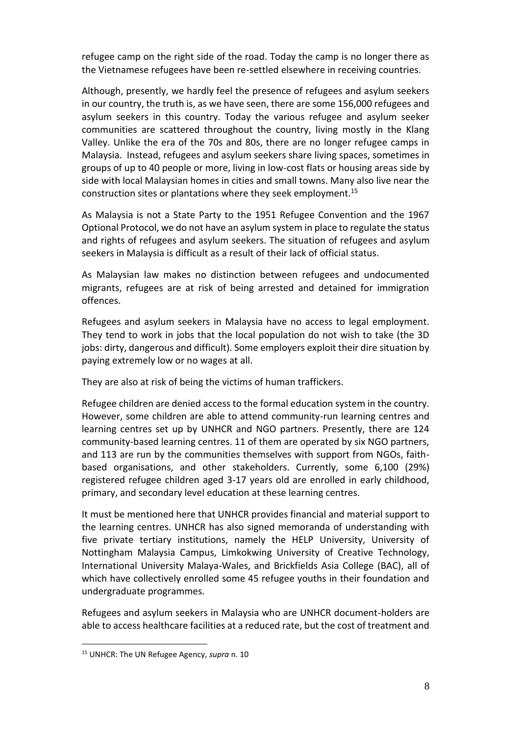refugee camp on the right side of the road. Today the camp is no longer there as the Vietnamese refugees have been re-settled elsewhere in receiving countries.

Although, presently, we hardly feel the presence of refugees and asylum seekers in our country, the truth is, as we have seen, there are some 156,000 refugees and asylum seekers in this country. Today the various refugee and asylum seeker communities are scattered throughout the country, living mostly in the Klang Valley. Unlike the era of the 70s and 80s, there are no longer refugee camps in Malaysia. Instead, refugees and asylum seekers share living spaces, sometimes in groups of up to 40 people or more, living in low-cost flats or housing areas side by side with local Malaysian homes in cities and small towns. Many also live near the construction sites or plantations where they seek employment.<sup>15</sup>

As Malaysia is not a State Party to the 1951 Refugee Convention and the 1967 Optional Protocol, we do not have an asylum system in place to regulate the status and rights of refugees and asylum seekers. The situation of refugees and asylum seekers in Malaysia is difficult as a result of their lack of official status.

As Malaysian law makes no distinction between refugees and undocumented migrants, refugees are at risk of being arrested and detained for immigration offences.

Refugees and asylum seekers in Malaysia have no access to legal employment. They tend to work in jobs that the local population do not wish to take (the 3D jobs: dirty, dangerous and difficult). Some employers exploit their dire situation by paying extremely low or no wages at all.

They are also at risk of being the victims of human traffickers.

Refugee children are denied access to the formal education system in the country. However, some children are able to attend community-run learning centres and learning centres set up by UNHCR and NGO partners. Presently, there are 124 community-based learning centres. 11 of them are operated by six NGO partners, and 113 are run by the communities themselves with support from NGOs, faithbased organisations, and other stakeholders. Currently, some 6,100 (29%) registered refugee children aged 3-17 years old are enrolled in early childhood, primary, and secondary level education at these learning centres.

It must be mentioned here that UNHCR provides financial and material support to the learning centres. UNHCR has also signed memoranda of understanding with five private tertiary institutions, namely the HELP University, University of Nottingham Malaysia Campus, Limkokwing University of Creative Technology, International University Malaya-Wales, and Brickfields Asia College (BAC), all of which have collectively enrolled some 45 refugee youths in their foundation and undergraduate programmes.

Refugees and asylum seekers in Malaysia who are UNHCR document-holders are able to access healthcare facilities at a reduced rate, but the cost of treatment and

 $\overline{a}$ 

<sup>15</sup> UNHCR: The UN Refugee Agency, *supra* n. 10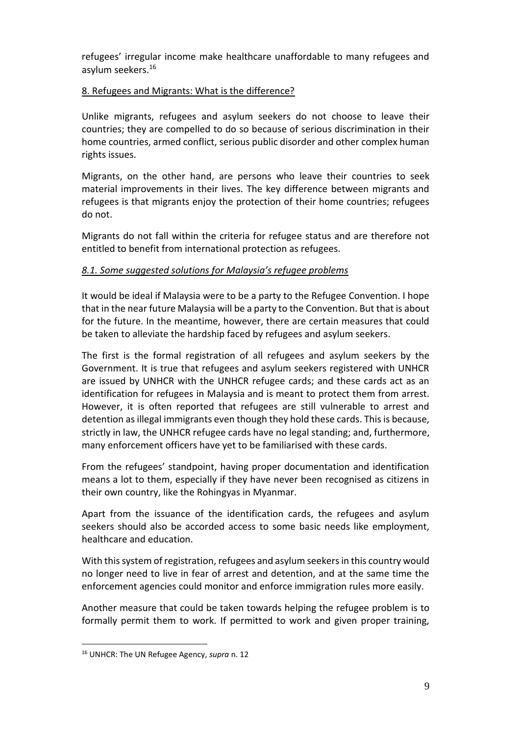refugees' irregular income make healthcare unaffordable to many refugees and asylum seekers.<sup>16</sup>

### 8. Refugees and Migrants: What is the difference?

Unlike migrants, refugees and asylum seekers do not choose to leave their countries; they are compelled to do so because of serious discrimination in their home countries, armed conflict, serious public disorder and other complex human rights issues.

Migrants, on the other hand, are persons who leave their countries to seek material improvements in their lives. The key difference between migrants and refugees is that migrants enjoy the protection of their home countries; refugees do not.

Migrants do not fall within the criteria for refugee status and are therefore not entitled to benefit from international protection as refugees.

# *8.1. Some suggested solutions for Malaysia's refugee problems*

It would be ideal if Malaysia were to be a party to the Refugee Convention. I hope that in the near future Malaysia will be a party to the Convention. But that is about for the future. In the meantime, however, there are certain measures that could be taken to alleviate the hardship faced by refugees and asylum seekers.

The first is the formal registration of all refugees and asylum seekers by the Government. It is true that refugees and asylum seekers registered with UNHCR are issued by UNHCR with the UNHCR refugee cards; and these cards act as an identification for refugees in Malaysia and is meant to protect them from arrest. However, it is often reported that refugees are still vulnerable to arrest and detention as illegal immigrants even though they hold these cards. This is because, strictly in law, the UNHCR refugee cards have no legal standing; and, furthermore, many enforcement officers have yet to be familiarised with these cards.

From the refugees' standpoint, having proper documentation and identification means a lot to them, especially if they have never been recognised as citizens in their own country, like the Rohingyas in Myanmar.

Apart from the issuance of the identification cards, the refugees and asylum seekers should also be accorded access to some basic needs like employment, healthcare and education.

With this system of registration, refugees and asylum seekers in this country would no longer need to live in fear of arrest and detention, and at the same time the enforcement agencies could monitor and enforce immigration rules more easily.

Another measure that could be taken towards helping the refugee problem is to formally permit them to work. If permitted to work and given proper training,

 $\overline{a}$ 

<sup>16</sup> UNHCR: The UN Refugee Agency, *supra* n. 12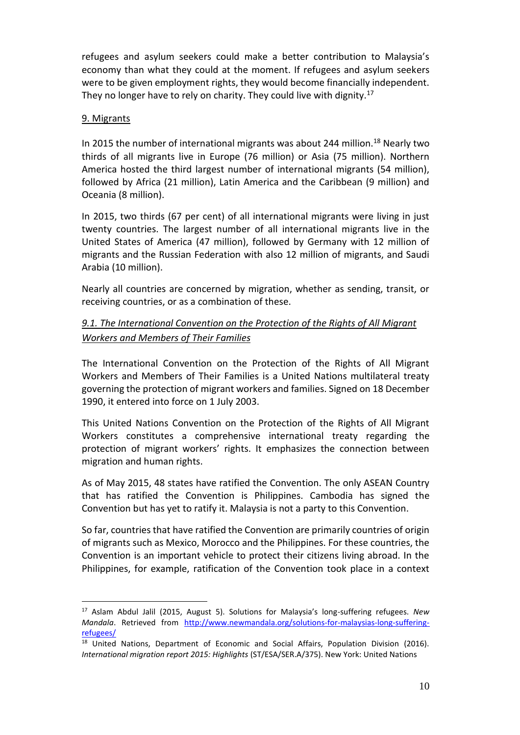refugees and asylum seekers could make a better contribution to Malaysia's economy than what they could at the moment. If refugees and asylum seekers were to be given employment rights, they would become financially independent. They no longer have to rely on charity. They could live with dignity.<sup>17</sup>

#### 9. Migrants

 $\overline{a}$ 

In 2015 the number of international migrants was about 244 million.<sup>18</sup> Nearly two thirds of all migrants live in Europe (76 million) or Asia (75 million). Northern America hosted the third largest number of international migrants (54 million), followed by Africa (21 million), Latin America and the Caribbean (9 million) and Oceania (8 million).

In 2015, two thirds (67 per cent) of all international migrants were living in just twenty countries. The largest number of all international migrants live in the United States of America (47 million), followed by Germany with 12 million of migrants and the Russian Federation with also 12 million of migrants, and Saudi Arabia (10 million).

Nearly all countries are concerned by migration, whether as sending, transit, or receiving countries, or as a combination of these.

## *9.1. The International Convention on the Protection of the Rights of All Migrant Workers and Members of Their Families*

The International Convention on the Protection of the Rights of All Migrant Workers and Members of Their Families is a United Nations multilateral treaty governing the protection of migrant workers and families. Signed on 18 December 1990, it entered into force on 1 July 2003.

This United Nations Convention on the Protection of the Rights of All Migrant Workers constitutes a comprehensive international treaty regarding the protection of migrant workers' rights. It emphasizes the connection between migration and human rights.

As of May 2015, 48 states have ratified the Convention. The only ASEAN Country that has ratified the Convention is Philippines. Cambodia has signed the Convention but has yet to ratify it. Malaysia is not a party to this Convention.

So far, countries that have ratified the Convention are primarily countries of origin of migrants such as Mexico, Morocco and the Philippines. For these countries, the Convention is an important vehicle to protect their citizens living abroad. In the Philippines, for example, ratification of the Convention took place in a context

<sup>17</sup> Aslam Abdul Jalil (2015, August 5). Solutions for Malaysia's long-suffering refugees. *New Mandala*. Retrieved from [http://www.newmandala.org/solutions-for-malaysias-long-suffering](http://www.newmandala.org/solutions-for-malaysias-long-suffering-refugees/)[refugees/](http://www.newmandala.org/solutions-for-malaysias-long-suffering-refugees/)

<sup>&</sup>lt;sup>18</sup> United Nations, Department of Economic and Social Affairs, Population Division (2016). *International migration report 2015: Highlights* (ST/ESA/SER.A/375). New York: United Nations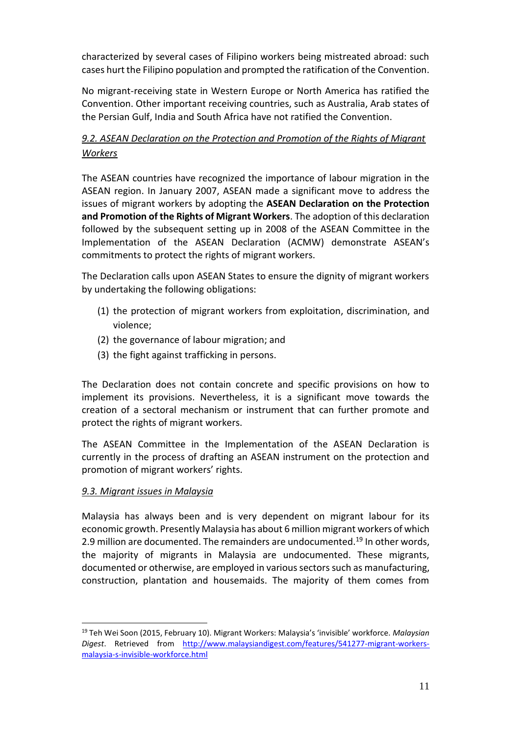characterized by several cases of Filipino workers being mistreated abroad: such cases hurt the Filipino population and prompted the ratification of the Convention.

No migrant-receiving state in Western Europe or North America has ratified the Convention. Other important receiving countries, such as Australia, Arab states of the Persian Gulf, India and South Africa have not ratified the Convention.

# *9.2. ASEAN Declaration on the Protection and Promotion of the Rights of Migrant Workers*

The ASEAN countries have recognized the importance of labour migration in the ASEAN region. In January 2007, ASEAN made a significant move to address the issues of migrant workers by adopting the **ASEAN Declaration on the Protection and Promotion of the Rights of Migrant Workers**. The adoption of this declaration followed by the subsequent setting up in 2008 of the ASEAN Committee in the Implementation of the ASEAN Declaration (ACMW) demonstrate ASEAN's commitments to protect the rights of migrant workers.

The Declaration calls upon ASEAN States to ensure the dignity of migrant workers by undertaking the following obligations:

- (1) the protection of migrant workers from exploitation, discrimination, and violence;
- (2) the governance of labour migration; and
- (3) the fight against trafficking in persons.

The Declaration does not contain concrete and specific provisions on how to implement its provisions. Nevertheless, it is a significant move towards the creation of a sectoral mechanism or instrument that can further promote and protect the rights of migrant workers.

The ASEAN Committee in the Implementation of the ASEAN Declaration is currently in the process of drafting an ASEAN instrument on the protection and promotion of migrant workers' rights.

# *9.3. Migrant issues in Malaysia*

 $\overline{a}$ 

Malaysia has always been and is very dependent on migrant labour for its economic growth. Presently Malaysia has about 6 million migrant workers of which 2.9 million are documented. The remainders are undocumented.<sup>19</sup> In other words, the majority of migrants in Malaysia are undocumented. These migrants, documented or otherwise, are employed in various sectors such as manufacturing, construction, plantation and housemaids. The majority of them comes from

<sup>19</sup> Teh Wei Soon (2015, February 10). Migrant Workers: Malaysia's 'invisible' workforce. *Malaysian Digest*. Retrieved from [http://www.malaysiandigest.com/features/541277-migrant-workers](http://www.malaysiandigest.com/features/541277-migrant-workers-malaysia-s-invisible-workforce.html)[malaysia-s-invisible-workforce.html](http://www.malaysiandigest.com/features/541277-migrant-workers-malaysia-s-invisible-workforce.html)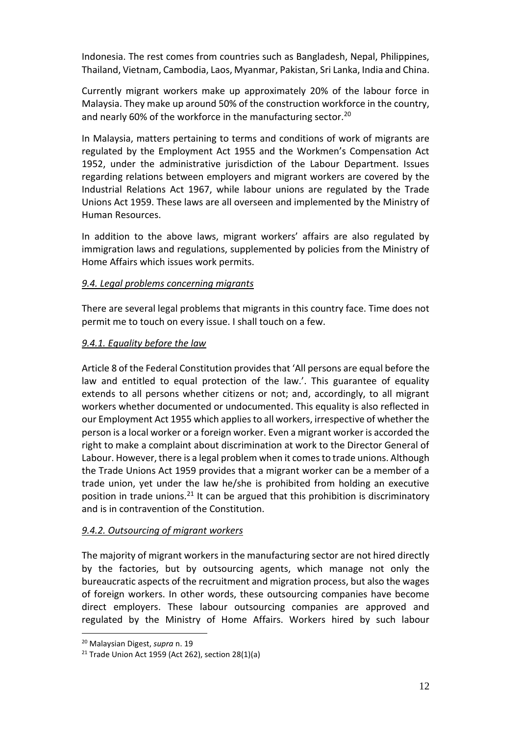Indonesia. The rest comes from countries such as Bangladesh, Nepal, Philippines, Thailand, Vietnam, Cambodia, Laos, Myanmar, Pakistan, Sri Lanka, India and China.

Currently migrant workers make up approximately 20% of the labour force in Malaysia. They make up around 50% of the construction workforce in the country, and nearly 60% of the workforce in the manufacturing sector.<sup>20</sup>

In Malaysia, matters pertaining to terms and conditions of work of migrants are regulated by the Employment Act 1955 and the Workmen's Compensation Act 1952, under the administrative jurisdiction of the Labour Department. Issues regarding relations between employers and migrant workers are covered by the Industrial Relations Act 1967, while labour unions are regulated by the Trade Unions Act 1959. These laws are all overseen and implemented by the Ministry of Human Resources.

In addition to the above laws, migrant workers' affairs are also regulated by immigration laws and regulations, supplemented by policies from the Ministry of Home Affairs which issues work permits.

### *9.4. Legal problems concerning migrants*

There are several legal problems that migrants in this country face. Time does not permit me to touch on every issue. I shall touch on a few.

#### *9.4.1. Equality before the law*

Article 8 of the Federal Constitution provides that 'All persons are equal before the law and entitled to equal protection of the law.'. This guarantee of equality extends to all persons whether citizens or not; and, accordingly, to all migrant workers whether documented or undocumented. This equality is also reflected in our Employment Act 1955 which applies to all workers, irrespective of whether the person is a local worker or a foreign worker. Even a migrant worker is accorded the right to make a complaint about discrimination at work to the Director General of Labour. However, there is a legal problem when it comes to trade unions. Although the Trade Unions Act 1959 provides that a migrant worker can be a member of a trade union, yet under the law he/she is prohibited from holding an executive position in trade unions.<sup>21</sup> It can be argued that this prohibition is discriminatory and is in contravention of the Constitution.

### *9.4.2. Outsourcing of migrant workers*

The majority of migrant workers in the manufacturing sector are not hired directly by the factories, but by outsourcing agents, which manage not only the bureaucratic aspects of the recruitment and migration process, but also the wages of foreign workers. In other words, these outsourcing companies have become direct employers. These labour outsourcing companies are approved and regulated by the Ministry of Home Affairs. Workers hired by such labour

 $\overline{a}$ 

<sup>20</sup> Malaysian Digest, *supra* n. 19

<sup>&</sup>lt;sup>21</sup> Trade Union Act 1959 (Act 262), section  $28(1)(a)$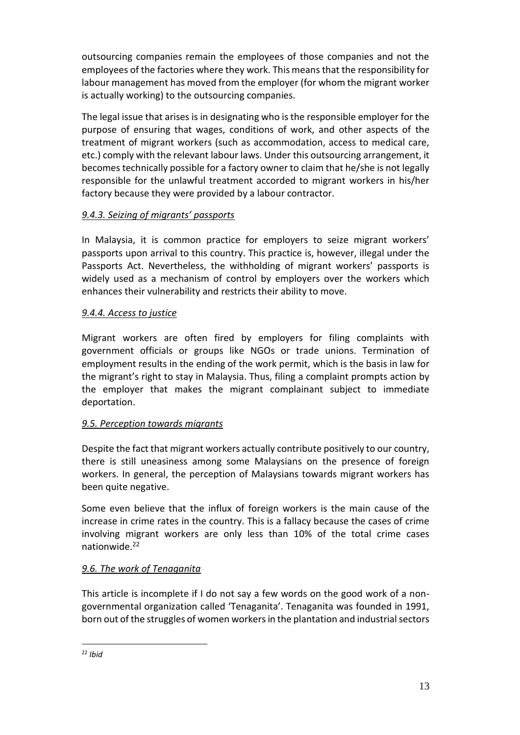outsourcing companies remain the employees of those companies and not the employees of the factories where they work. This means that the responsibility for labour management has moved from the employer (for whom the migrant worker is actually working) to the outsourcing companies.

The legal issue that arises is in designating who is the responsible employer for the purpose of ensuring that wages, conditions of work, and other aspects of the treatment of migrant workers (such as accommodation, access to medical care, etc.) comply with the relevant labour laws. Under this outsourcing arrangement, it becomes technically possible for a factory owner to claim that he/she is not legally responsible for the unlawful treatment accorded to migrant workers in his/her factory because they were provided by a labour contractor.

### *9.4.3. Seizing of migrants' passports*

In Malaysia, it is common practice for employers to seize migrant workers' passports upon arrival to this country. This practice is, however, illegal under the Passports Act. Nevertheless, the withholding of migrant workers' passports is widely used as a mechanism of control by employers over the workers which enhances their vulnerability and restricts their ability to move.

### *9.4.4. Access to justice*

Migrant workers are often fired by employers for filing complaints with government officials or groups like NGOs or trade unions. Termination of employment results in the ending of the work permit, which is the basis in law for the migrant's right to stay in Malaysia. Thus, filing a complaint prompts action by the employer that makes the migrant complainant subject to immediate deportation.

# *9.5. Perception towards migrants*

Despite the fact that migrant workers actually contribute positively to our country, there is still uneasiness among some Malaysians on the presence of foreign workers. In general, the perception of Malaysians towards migrant workers has been quite negative.

Some even believe that the influx of foreign workers is the main cause of the increase in crime rates in the country. This is a fallacy because the cases of crime involving migrant workers are only less than 10% of the total crime cases nationwide.<sup>22</sup>

# *9.6. The work of Tenaganita*

This article is incomplete if I do not say a few words on the good work of a nongovernmental organization called 'Tenaganita'. Tenaganita was founded in 1991, born out of the struggles of women workers in the plantation and industrial sectors

 $\overline{a}$ <sup>22</sup> *Ibid*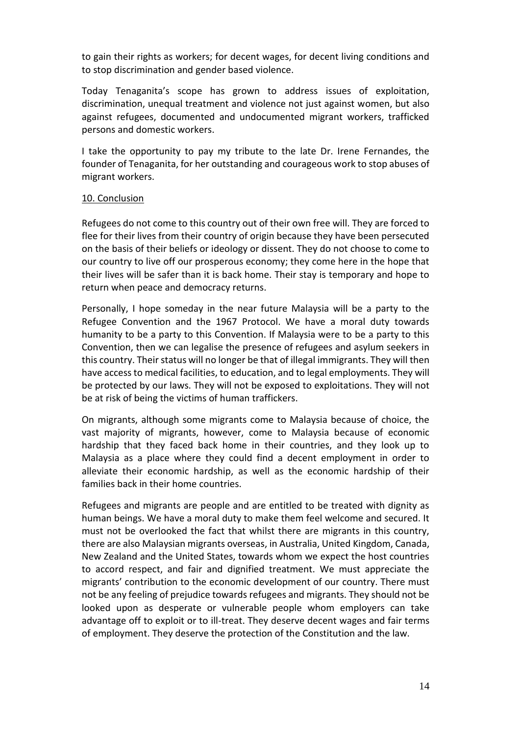to gain their rights as workers; for decent wages, for decent living conditions and to stop discrimination and gender based violence.

Today Tenaganita's scope has grown to address issues of exploitation, discrimination, unequal treatment and violence not just against women, but also against refugees, documented and undocumented migrant workers, trafficked persons and domestic workers.

I take the opportunity to pay my tribute to the late Dr. Irene Fernandes, the founder of Tenaganita, for her outstanding and courageous work to stop abuses of migrant workers.

#### 10. Conclusion

Refugees do not come to this country out of their own free will. They are forced to flee for their lives from their country of origin because they have been persecuted on the basis of their beliefs or ideology or dissent. They do not choose to come to our country to live off our prosperous economy; they come here in the hope that their lives will be safer than it is back home. Their stay is temporary and hope to return when peace and democracy returns.

Personally, I hope someday in the near future Malaysia will be a party to the Refugee Convention and the 1967 Protocol. We have a moral duty towards humanity to be a party to this Convention. If Malaysia were to be a party to this Convention, then we can legalise the presence of refugees and asylum seekers in this country. Their status will no longer be that of illegal immigrants. They will then have access to medical facilities, to education, and to legal employments. They will be protected by our laws. They will not be exposed to exploitations. They will not be at risk of being the victims of human traffickers.

On migrants, although some migrants come to Malaysia because of choice, the vast majority of migrants, however, come to Malaysia because of economic hardship that they faced back home in their countries, and they look up to Malaysia as a place where they could find a decent employment in order to alleviate their economic hardship, as well as the economic hardship of their families back in their home countries.

Refugees and migrants are people and are entitled to be treated with dignity as human beings. We have a moral duty to make them feel welcome and secured. It must not be overlooked the fact that whilst there are migrants in this country, there are also Malaysian migrants overseas, in Australia, United Kingdom, Canada, New Zealand and the United States, towards whom we expect the host countries to accord respect, and fair and dignified treatment. We must appreciate the migrants' contribution to the economic development of our country. There must not be any feeling of prejudice towards refugees and migrants. They should not be looked upon as desperate or vulnerable people whom employers can take advantage off to exploit or to ill-treat. They deserve decent wages and fair terms of employment. They deserve the protection of the Constitution and the law.